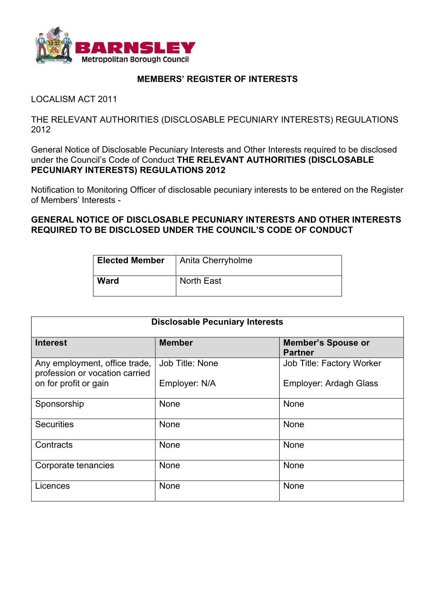

## MEMBERS' REGISTER OF INTERESTS

LOCALISM ACT 2011

THE RELEVANT AUTHORITIES (DISCLOSABLE PECUNIARY INTERESTS) REGULATIONS 2012

General Notice of Disclosable Pecuniary Interests and Other Interests required to be disclosed under the Council's Code of Conduct THE RELEVANT AUTHORITIES (DISCLOSABLE PECUNIARY INTERESTS) REGULATIONS 2012

Notification to Monitoring Officer of disclosable pecuniary interests to be entered on the Register of Members' Interests -

GENERAL NOTICE OF DISCLOSABLE PECUNIARY INTERESTS AND OTHER INTERESTS REQUIRED TO BE DISCLOSED UNDER THE COUNCIL'S CODE OF CONDUCT

| <b>Elected Member</b> | Anita Cherryholme |
|-----------------------|-------------------|
| <b>Ward</b>           | <b>North East</b> |

| <b>Disclosable Pecuniary Interests</b>                          |                 |                                             |  |
|-----------------------------------------------------------------|-----------------|---------------------------------------------|--|
| <b>Interest</b>                                                 | <b>Member</b>   | <b>Member's Spouse or</b><br><b>Partner</b> |  |
| Any employment, office trade,<br>profession or vocation carried | Job Title: None | Job Title: Factory Worker                   |  |
| on for profit or gain                                           | Employer: N/A   | <b>Employer: Ardagh Glass</b>               |  |
| Sponsorship                                                     | None            | None                                        |  |
| <b>Securities</b>                                               | None            | None                                        |  |
| Contracts                                                       | None            | None                                        |  |
| Corporate tenancies                                             | None            | None                                        |  |
| Licences                                                        | None            | None                                        |  |